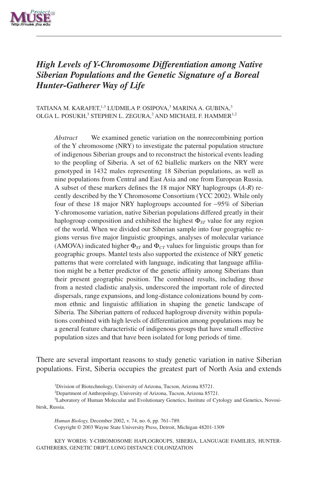

# *High Levels of Y-Chromosome Differentiation among Native Siberian Populations and the Genetic Signature of a Boreal Hunter-Gatherer Way of Life*

TATIANA M. KARAFET,  $^{1,3}$  LUDMILA P. OSIPOVA, $^3$  MARINA A. GUBINA, $^3$ OLGA L. POSUKH.<sup>3</sup> STEPHEN L. ZEGURA,<sup>2</sup> AND MICHAEL F. HAMMER<sup>1,2</sup>

*Abstract* We examined genetic variation on the nonrecombining portion of the Y chromosome (NRY) to investigate the paternal population structure of indigenous Siberian groups and to reconstruct the historical events leading to the peopling of Siberia. A set of 62 biallelic markers on the NRY were genotyped in 1432 males representing 18 Siberian populations, as well as nine populations from Central and East Asia and one from European Russia. A subset of these markers defines the 18 major NRY haplogroups (*A-R*) recently described by the Y Chromosome Consortium (YCC 2002). While only four of these 18 major NRY haplogroups accounted for ∼95% of Siberian Y-chromosome variation, native Siberian populations differed greatly in their haplogroup composition and exhibited the highest  $\Phi_{ST}$  value for any region of the world. When we divided our Siberian sample into four geographic regions versus five major linguistic groupings, analyses of molecular variance (AMOVA) indicated higher  $\Phi_{ST}$  and  $\Phi_{CT}$  values for linguistic groups than for geographic groups. Mantel tests also supported the existence of NRY genetic patterns that were correlated with language, indicating that language affiliation might be a better predictor of the genetic affinity among Siberians than their present geographic position. The combined results, including those from a nested cladistic analysis, underscored the important role of directed dispersals, range expansions, and long-distance colonizations bound by common ethnic and linguistic affiliation in shaping the genetic landscape of Siberia. The Siberian pattern of reduced haplogroup diversity within populations combined with high levels of differentiation among populations may be a general feature characteristic of indigenous groups that have small effective population sizes and that have been isolated for long periods of time.

There are several important reasons to study genetic variation in native Siberian populations. First, Siberia occupies the greatest part of North Asia and extends

<sup>1</sup>Division of Biotechnology, University of Arizona, Tucson, Arizona 85721.

<sup>2</sup>Department of Anthropology, University of Arizona, Tucson, Arizona 85721.

3 Laboratory of Human Molecular and Evolutionary Genetics, Institute of Cytology and Genetics, Novosibirsk, Russia.

*Human Biology,* December 2002, v. 74, no. 6, pp. 761–789. Copyright © 2003 Wayne State University Press, Detroit, Michigan 48201-1309

KEY WORDS: Y-CHROMOSOME HAPLOGROUPS, SIBERIA, LANGUAGE FAMILIES, HUNTER-GATHERERS, GENETIC DRIFT, LONG DISTANCE COLONIZATION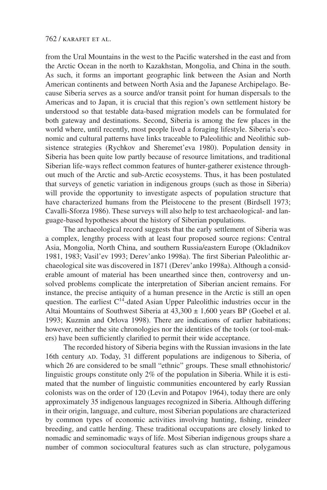from the Ural Mountains in the west to the Pacific watershed in the east and from the Arctic Ocean in the north to Kazakhstan, Mongolia, and China in the south. As such, it forms an important geographic link between the Asian and North American continents and between North Asia and the Japanese Archipelago. Because Siberia serves as a source and/or transit point for human dispersals to the Americas and to Japan, it is crucial that this region's own settlement history be understood so that testable data-based migration models can be formulated for both gateway and destinations. Second, Siberia is among the few places in the world where, until recently, most people lived a foraging lifestyle. Siberia's economic and cultural patterns have links traceable to Paleolithic and Neolithic subsistence strategies (Rychkov and Sheremet'eva 1980). Population density in Siberia has been quite low partly because of resource limitations, and traditional Siberian life-ways reflect common features of hunter-gatherer existence throughout much of the Arctic and sub-Arctic ecosystems. Thus, it has been postulated that surveys of genetic variation in indigenous groups (such as those in Siberia) will provide the opportunity to investigate aspects of population structure that have characterized humans from the Pleistocene to the present (Birdsell 1973; Cavalli-Sforza 1986). These surveys will also help to test archaeological- and language-based hypotheses about the history of Siberian populations.

The archaeological record suggests that the early settlement of Siberia was a complex, lengthy process with at least four proposed source regions: Central Asia, Mongolia, North China, and southern Russia/eastern Europe (Okladnikov 1981, 1983; Vasil'ev 1993; Derev'anko 1998a). The first Siberian Paleolithic archaeological site was discovered in 1871 (Derev'anko 1998a). Although a considerable amount of material has been unearthed since then, controversy and unsolved problems complicate the interpretation of Siberian ancient remains. For instance, the precise antiquity of a human presence in the Arctic is still an open question. The earliest  $C<sup>14</sup>$ -dated Asian Upper Paleolithic industries occur in the Altai Mountains of Southwest Siberia at  $43,300 \pm 1,600$  years BP (Goebel et al. 1993; Kuzmin and Orlova 1998). There are indications of earlier habitations; however, neither the site chronologies nor the identities of the tools (or tool-makers) have been sufficiently clarified to permit their wide acceptance.

The recorded history of Siberia begins with the Russian invasions in the late 16th century AD. Today, 31 different populations are indigenous to Siberia, of which 26 are considered to be small "ethnic" groups. These small ethnohistoric/ linguistic groups constitute only 2% of the population in Siberia. While it is estimated that the number of linguistic communities encountered by early Russian colonists was on the order of 120 (Levin and Potapov 1964), today there are only approximately 35 indigenous languages recognized in Siberia. Although differing in their origin, language, and culture, most Siberian populations are characterized by common types of economic activities involving hunting, fishing, reindeer breeding, and cattle herding. These traditional occupations are closely linked to nomadic and seminomadic ways of life. Most Siberian indigenous groups share a number of common sociocultural features such as clan structure, polygamous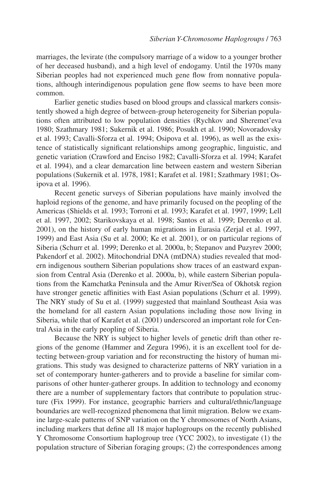marriages, the levirate (the compulsory marriage of a widow to a younger brother of her deceased husband), and a high level of endogamy. Until the 1970s many Siberian peoples had not experienced much gene flow from nonnative populations, although interindigenous population gene flow seems to have been more common.

Earlier genetic studies based on blood groups and classical markers consistently showed a high degree of between-group heterogeneity for Siberian populations often attributed to low population densities (Rychkov and Sheremet'eva 1980; Szathmary 1981; Sukernik et al. 1986; Posukh et al. 1990; Novoradovsky et al. 1993; Cavalli-Sforza et al. 1994; Osipova et al. 1996), as well as the existence of statistically significant relationships among geographic, linguistic, and genetic variation (Crawford and Enciso 1982; Cavalli-Sforza et al. 1994; Karafet et al. 1994), and a clear demarcation line between eastern and western Siberian populations (Sukernik et al. 1978, 1981; Karafet et al. 1981; Szathmary 1981; Osipova et al. 1996).

Recent genetic surveys of Siberian populations have mainly involved the haploid regions of the genome, and have primarily focused on the peopling of the Americas (Shields et al. 1993; Torroni et al. 1993; Karafet et al. 1997, 1999; Lell et al. 1997, 2002; Starikovskaya et al. 1998; Santos et al. 1999; Derenko et al. 2001), on the history of early human migrations in Eurasia (Zerjal et al. 1997, 1999) and East Asia (Su et al. 2000; Ke et al. 2001), or on particular regions of Siberia (Schurr et al. 1999; Derenko et al. 2000a, b; Stepanov and Puzyrev 2000; Pakendorf et al. 2002). Mitochondrial DNA (mtDNA) studies revealed that modern indigenous southern Siberian populations show traces of an eastward expansion from Central Asia (Derenko et al. 2000a, b), while eastern Siberian populations from the Kamchatka Peninsula and the Amur River/Sea of Okhotsk region have stronger genetic affinities with East Asian populations (Schurr et al. 1999). The NRY study of Su et al. (1999) suggested that mainland Southeast Asia was the homeland for all eastern Asian populations including those now living in Siberia, while that of Karafet et al. (2001) underscored an important role for Central Asia in the early peopling of Siberia.

Because the NRY is subject to higher levels of genetic drift than other regions of the genome (Hammer and Zegura 1996), it is an excellent tool for detecting between-group variation and for reconstructing the history of human migrations. This study was designed to characterize patterns of NRY variation in a set of contemporary hunter-gatherers and to provide a baseline for similar comparisons of other hunter-gatherer groups. In addition to technology and economy there are a number of supplementary factors that contribute to population structure (Fix 1999). For instance, geographic barriers and cultural/ethnic/language boundaries are well-recognized phenomena that limit migration. Below we examine large-scale patterns of SNP variation on the Y chromosomes of North Asians, including markers that define all 18 major haplogroups on the recently published Y Chromosome Consortium haplogroup tree (YCC 2002), to investigate (1) the population structure of Siberian foraging groups; (2) the correspondences among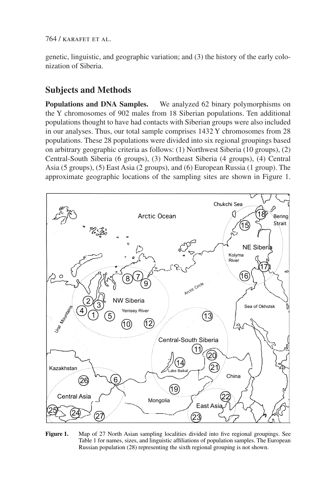genetic, linguistic, and geographic variation; and (3) the history of the early colonization of Siberia.

# **Subjects and Methods**

**Populations and DNA Samples.** We analyzed 62 binary polymorphisms on the Y chromosomes of 902 males from 18 Siberian populations. Ten additional populations thought to have had contacts with Siberian groups were also included in our analyses. Thus, our total sample comprises 1432 Y chromosomes from 28 populations. These 28 populations were divided into six regional groupings based on arbitrary geographic criteria as follows: (1) Northwest Siberia (10 groups), (2) Central-South Siberia (6 groups), (3) Northeast Siberia (4 groups), (4) Central Asia (5 groups), (5) East Asia (2 groups), and (6) European Russia (1 group). The approximate geographic locations of the sampling sites are shown in Figure 1.



**Figure 1.** Map of 27 North Asian sampling localities divided into five regional groupings. See Table 1 for names, sizes, and linguistic affiliations of population samples. The European Russian population (28) representing the sixth regional grouping is not shown.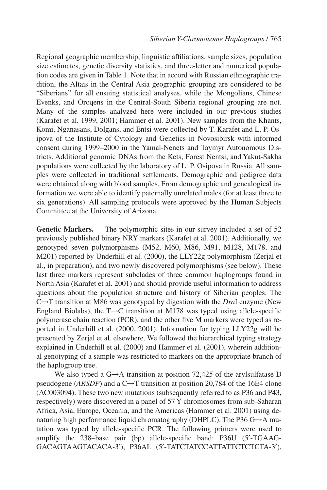Regional geographic membership, linguistic affiliations, sample sizes, population size estimates, genetic diversity statistics, and three-letter and numerical population codes are given in Table 1. Note that in accord with Russian ethnographic tradition, the Altais in the Central Asia geographic grouping are considered to be "Siberians" for all ensuing statistical analyses, while the Mongolians, Chinese Evenks, and Oroqens in the Central-South Siberia regional grouping are not. Many of the samples analyzed here were included in our previous studies (Karafet et al. 1999, 2001; Hammer et al. 2001). New samples from the Khants, Komi, Nganasans, Dolgans, and Entsi were collected by T. Karafet and L. P. Osipova of the Institute of Cytology and Genetics in Novosibirsk with informed consent during 1999–2000 in the Yamal-Nenets and Taymyr Autonomous Districts. Additional genomic DNAs from the Kets, Forest Nentsi, and Yakut-Sakha populations were collected by the laboratory of L. P. Osipova in Russia. All samples were collected in traditional settlements. Demographic and pedigree data were obtained along with blood samples. From demographic and genealogical information we were able to identify paternally unrelated males (for at least three to six generations). All sampling protocols were approved by the Human Subjects Committee at the University of Arizona.

**Genetic Markers.** The polymorphic sites in our survey included a set of 52 previously published binary NRY markers (Karafet et al. 2001). Additionally, we genotyped seven polymorphisms (M52, M60, M86, M91, M128, M178, and M201) reported by Underhill et al. (2000), the LLY22g polymorphism (Zerjal et al., in preparation), and two newly discovered polymorphisms (see below). These last three markers represent subclades of three common haplogroups found in North Asia (Karafet et al. 2001) and should provide useful information to address questions about the population structure and history of Siberian peoples. The C→T transition at M86 was genotyped by digestion with the *Dra*I enzyme (New England Biolabs), the  $T\rightarrow C$  transition at M178 was typed using allele-specific polymerase chain reaction (PCR), and the other five M markers were typed as reported in Underhill et al. (2000, 2001). Information for typing LLY22g will be presented by Zerjal et al. elsewhere. We followed the hierarchical typing strategy explained in Underhill et al. (2000) and Hammer et al. (2001), wherein additional genotyping of a sample was restricted to markers on the appropriate branch of the haplogroup tree.

We also typed a G→A transition at position 72,425 of the arylsulfatase D pseudogene (*ARSDP*) and a C→T transition at position 20,784 of the 16E4 clone (AC003094). These two new mutations (subsequently referred to as P36 and P43, respectively) were discovered in a panel of 57 Y chromosomes from sub-Saharan Africa, Asia, Europe, Oceania, and the Americas (Hammer et al. 2001) using denaturing high performance liquid chromatography (DHPLC). The P36  $G \rightarrow A$  mutation was typed by allele-specific PCR. The following primers were used to amplify the 238–base pair (bp) allele-specific band: P36U (5′-TGAAG-GACAGTAAGTACACA-3′), P36AL (5′-TATCTATCCATTATTCTCTCTA-3′),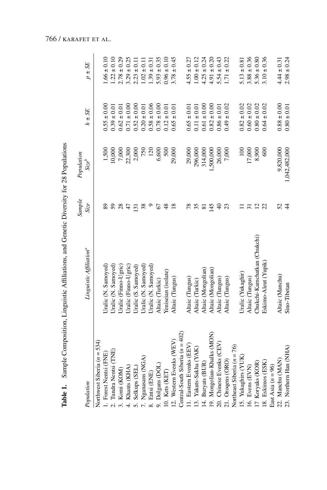|                                   | Table 1. Sample Composition, Linguistic Affiliations, and Genetic Diversity for 28 Populations |                 |                        |                 |                 |
|-----------------------------------|------------------------------------------------------------------------------------------------|-----------------|------------------------|-----------------|-----------------|
| Population                        | Linguistic Affiliation <sup>a</sup>                                                            | Sample<br>Size  | Population<br>$Size^b$ | $h \pm SE$      | $p \pm SE$      |
| Northwest Siberia $(n = 534)$     |                                                                                                |                 |                        |                 |                 |
| 1. Forest Nentsi (FNE)            | Jralic (N. Samoyed)                                                                            |                 | 1,500                  | $0.55 \pm 0.00$ | $.66 \pm 0.10$  |
| 2. Tundra Nentsi (TNE)            | Uralic (N. Samoyed)                                                                            | 59              | 10,000                 | $0.39 \pm 0.01$ | $1.22 \pm 0.10$ |
| 3. Komi (KOM)                     | Jralic (Finno-Ugric)                                                                           | 28              | 7,000                  | $0.62 \pm 0.01$ | $2.78 \pm 0.29$ |
| Khants (KHA)<br>$\frac{1}{4}$     | Jralic (Finno-Ugric)                                                                           | 47              | 22,300                 | $0.71 \pm 0.00$ | $3.29 \pm 0.25$ |
| Selkups (SEL)<br><sub>10</sub>    | Uralic (S. Samoyed)                                                                            | 131             | 2,000                  | $0.52 \pm 0.00$ | $2.23 \pm 0.11$ |
| 7. Nganasans (NGA)                | Jralic (N. Samoyed)                                                                            | 38              | 750                    | $0.20 \pm 0.01$ | $1.02 \pm 0.11$ |
| 8. Entsi (ENE)                    | Uralic (N. Samoyed)                                                                            |                 | 120                    | $0.58 \pm 0.06$ | $1.39 \pm 0.31$ |
| 9. Dolgans (DOL)                  | Altaic (Turkic)                                                                                | 67              | 6,600                  | $0.78 \pm 0.00$ | $5.93 \pm 0.35$ |
| 10. Kets (KET)                    | Yeniseian (isolate)                                                                            | $\frac{8}{3}$   | 500                    | $0.12 \pm 0.01$ | $0.96 \pm 0.10$ |
| 12. Western Evenks (WEV)          | Altaic (Tungus)                                                                                | $\frac{8}{1}$   | 29,000                 | $0.65 \pm 0.01$ | $3.78 \pm 0.45$ |
| Central-South Siberia $(n = 402)$ |                                                                                                |                 |                        |                 |                 |
| 11. Eastern Evenks (EEV           | Altaic (Tungus)                                                                                | 78              | 29,000                 | $0.65 \pm 0.01$ | $4.55 \pm 0.27$ |
| 13. Yakuts-Sakha (YAK)            | Altaic (Turkic)                                                                                | 35              | 296,000                | $0.11 \pm 0.01$ | $1.00 \pm 0.12$ |
| 14. Buryats (BUR)                 | Altaic (Mongolian)                                                                             | $\overline{8}$  | 314,000                | $0.61 \pm 0.00$ | $4.25 \pm 0.24$ |
| 19. Mongolian-Khalks (MON)        | Altaic (Mongolian)                                                                             | 145             | 1,500,000              | $0.82 \pm 0.00$ | $4.91 \pm 0.20$ |
| 20. Chinese Evenks (CEV)          | Altaic (Tungus)                                                                                | $\Theta$        | 26,000                 | $0.86 \pm 0.01$ | $5.54 \pm 0.43$ |
| 21. Oroqens (ORO)                 | Altaic (Tungus)                                                                                |                 | 7,000                  | $0.49 \pm 0.02$ | $1.71 \pm 0.22$ |
| Northeast Siberia $(n = 76)$      |                                                                                                |                 |                        |                 |                 |
| 15. Yukaghirs (YUK                | Uralic (Yukaghir)                                                                              |                 | $\overline{100}$       | $0.82 \pm 0.02$ | $5.13 \pm 0.81$ |
| 16. Evens (EVN)                   | Altaic (Tungus)                                                                                | $\overline{5}$  | 17,000                 | $0.60 \pm 0.02$ | $3.88 \pm 0.36$ |
| 17 Koryaks (KOR)                  | Chukchi-Kamchatkan (Chukchi)                                                                   | 12 <sub>2</sub> | 8,900                  | $0.80 \pm 0.02$ | $5.36 \pm 0.80$ |
| 18. Eskimos (ESK)                 | Eskimo-Aleut (Yupik)                                                                           |                 | 600                    | $0.64 \pm 0.02$ | $3.10 \pm 0.36$ |
| East Asia $(n = 96)$              |                                                                                                |                 |                        |                 |                 |
| 22. Manchu (MAN)                  | Altaic (Manchu)                                                                                | 52              | 9,820,000              | $0.88 \pm 0.00$ | $4.44 \pm 0.31$ |
| 23. Northern Han (NHA)            | Sino-Tibetan                                                                                   | $\frac{4}{4}$   | 1,042,482,000          | $0.80 \pm 0.01$ | $2.98 \pm 0.24$ |

Table 1. Sample Composition, Linguistic Affiliations, and Genetic Diversity for 28 Populations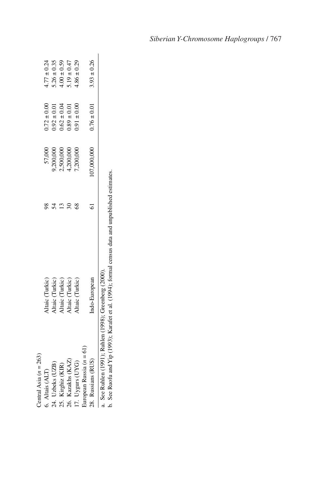| Central Asia $(n = 263)$                               |                                                                                                         |                  |                 |                 |
|--------------------------------------------------------|---------------------------------------------------------------------------------------------------------|------------------|-----------------|-----------------|
| 6. Altais (ALT)                                        | Altaic (Turkic)                                                                                         | 57,000           | $0.72 \pm 0.00$ | $4.77 \pm 0.24$ |
| 24. Uzbeks (UZB)                                       | Altaic (Turkic)                                                                                         | <b>0.200,000</b> | $0.92 \pm 0.01$ | $.26 \pm 0.35$  |
| 25. Kirghiz (KIR)                                      | Altaic (Turkic)                                                                                         | 1,500,000        | $0.62 \pm 0.04$ | $4.00 \pm 0.59$ |
| 26. Kazakhs (KAZ)                                      | Altaic (Turkic)                                                                                         | 1,200,000        | $0.89 \pm 0.01$ | $19 \pm 0.47$   |
| 17. Uygurs (UYG)                                       | Altaic (Turkic)                                                                                         | 7,200,000        | $0.01 \pm 0.00$ | $4.86 \pm 0.29$ |
| European Russia $(n = 61)$                             |                                                                                                         |                  |                 |                 |
| 28. Russians (RUS)                                     | Indo-European                                                                                           | 107,000,000      | $0.76 \pm 0.01$ | $3.93 \pm 0.26$ |
| a. See Ruhlen (1991); Ruhlen (1998); Greenberg (2000). | b. See Ruofu and Yip $(1993)$ ; Karafet et al. $(1994)$ ; formal census data and unpublished estimates. |                  |                 |                 |

*Siberian Y-Chromosome Haplogroups* / 767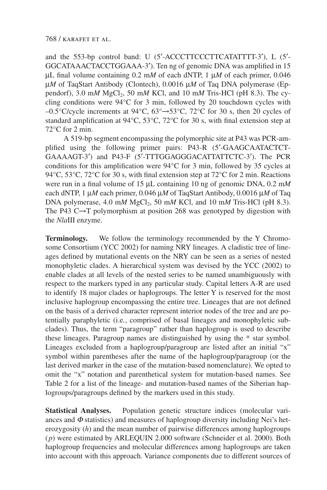and the 553-bp control band: U (5′-ACCCTTCCCTTCATATTTT-3′), L (5′- GGCATAAACTACCTGGAAA-3′). Ten ng of genomic DNA was amplified in 15 µL final volume containing 0.2 m*M* of each dNTP, 1 µ*M* of each primer, 0.046 µ*M* of TaqStart Antibody (Clontech), 0.0016 µ*M* of Taq DNA polymerase (Eppendorf), 3.0 m*M*  $MgCl<sub>2</sub>$ , 50 m*M* KCl, and 10 m*M* Tris-HCl (pH 8.3). The cycling conditions were 94°C for 3 min, followed by 20 touchdown cycles with –0.5°C/cycle increments at 94°C, 63°→53°C, 72°C for 30 s, then 20 cycles of standard amplification at 94°C, 53°C, 72°C for 30 s, with final extension step at 72°C for 2 min.

A 519-bp segment encompassing the polymorphic site at P43 was PCR-amplified using the following primer pairs: P43-R (5′-GAAGCAATACTCT-GAAAAGT-3′) and P43-F (5′-TTTGGAGGGACATTATTCTC-3′). The PCR conditions for this amplification were 94°C for 3 min, followed by 35 cycles at 94 $\degree$ C, 53 $\degree$ C, 72 $\degree$ C for 30 s, with final extension step at 72 $\degree$ C for 2 min. Reactions were run in a final volume of 15 µL containing 10 ng of genomic DNA, 0.2 m*M* each dNTP, 1 µ*M* each primer, 0.046 µ*M* of TaqStart Antibody, 0.0016 µ*M* of Taq DNA polymerase, 4.0 m*M* MgCl<sub>2</sub>, 50 m*M* KCl, and 10 m*M* Tris-HCl (pH 8.3). The P43 C $\rightarrow$ T polymorphism at position 268 was genotyped by digestion with the *Nla*III enzyme.

**Terminology.** We follow the terminology recommended by the Y Chromosome Consortium (YCC 2002) for naming NRY lineages. A cladistic tree of lineages defined by mutational events on the NRY can be seen as a series of nested monophyletic clades. A hierarchical system was devised by the YCC (2002) to enable clades at all levels of the nested series to be named unambiguously with respect to the markers typed in any particular study. Capital letters A-R are used to identify 18 major clades or haplogroups. The letter Y is reserved for the most inclusive haplogroup encompassing the entire tree. Lineages that are not defined on the basis of a derived character represent interior nodes of the tree and are potentially paraphyletic (i.e*.*, comprised of basal lineages and monophyletic subclades). Thus, the term "paragroup" rather than haplogroup is used to describe these lineages. Paragroup names are distinguished by using the \* star symbol. Lineages excluded from a haplogroup/paragroup are listed after an initial "x" symbol within parentheses after the name of the haplogroup/paragroup (or the last derived marker in the case of the mutation-based nomenclature). We opted to omit the "x" notation and parenthetical system for mutation-based names. See Table 2 for a list of the lineage- and mutation-based names of the Siberian haplogroups/paragroups defined by the markers used in this study.

**Statistical Analyses.** Population genetic structure indices (molecular variances and  $\Phi$  statistics) and measures of haplogroup diversity including Nei's heterozygosity (*h*) and the mean number of pairwise differences among haplogroups (*p*) were estimated by ARLEQUIN 2.000 software (Schneider et al. 2000). Both haplogroup frequencies and molecular differences among haplogroups are taken into account with this approach. Variance components due to different sources of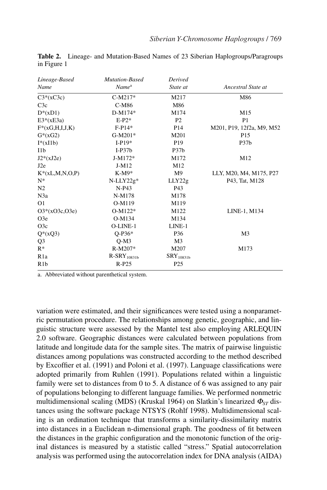| Lineage-Based     | <b>Mutation-Based</b> | Derived           |                           |
|-------------------|-----------------------|-------------------|---------------------------|
| Name              | Name <sup>a</sup>     | State at          | Ancestral State at        |
| $C3*(xC3c)$       | $C-M217*$             | M217              | M86                       |
| C3c               | C-M86                 | M86               |                           |
| $D^*(xD1)$        | D-M174*               | M174              | M15                       |
| $E3*(xE3a)$       | $E-P2*$               | P <sub>2</sub>    | P <sub>1</sub>            |
| $F^*(xG,H,I,J,K)$ | $F-P14*$              | P <sub>14</sub>   | M201, P19, 12f2a, M9, M52 |
| $G^*(xG2)$        | $G-M201*$             | M201              | P <sub>15</sub>           |
| $I^*(xI1b)$       | $I-P19*$              | P <sub>19</sub>   | P37b                      |
| 11 <sub>b</sub>   | $I-P37b$              | P <sub>37</sub> b |                           |
| $J2*(xJ2e)$       | J-M172*               | M172              | M12                       |
| J2e               | J-M12                 | M12               |                           |
| $K^*(xL,M,N,O,P)$ | $K-M9*$               | M <sup>9</sup>    | LLY, M20, M4, M175, P27   |
| $N^*$             | $N-LLY22g*$           | LLY22g            | P43, Tat, M128            |
| N <sub>2</sub>    | $N-P43$               | P43               |                           |
| N3a               | N-M178                | M178              |                           |
| O <sub>1</sub>    | O-M119                | M119              |                           |
| $O3*(xO3c,O3e)$   | $O-M122*$             | M122              | LINE-1, M134              |
| O3e               | O-M134                | M134              |                           |
| O3c               | O-LINE-1              | LINE-1            |                           |
| $Q^*(xQ3)$        | $O-P36*$              | P36               | M <sub>3</sub>            |
| Q <sub>3</sub>    | $Q-M3$                | M <sub>3</sub>    |                           |
| $R^*$             | R-M207*               | M207              | M173                      |
| R <sub>1</sub> a  | $R-SRY10831b$         | $SRY_{10831b}$    |                           |
| R1b               | $R-P25$               | P <sub>25</sub>   |                           |

**Table 2.** Lineage- and Mutation-Based Names of 23 Siberian Haplogroups/Paragroups in Figure 1

a. Abbreviated without parenthetical system.

variation were estimated, and their significances were tested using a nonparametric permutation procedure. The relationships among genetic, geographic, and linguistic structure were assessed by the Mantel test also employing ARLEQUIN 2.0 software. Geographic distances were calculated between populations from latitude and longitude data for the sample sites. The matrix of pairwise linguistic distances among populations was constructed according to the method described by Excoffier et al. (1991) and Poloni et al. (1997). Language classifications were adopted primarily from Ruhlen (1991). Populations related within a linguistic family were set to distances from 0 to 5. A distance of 6 was assigned to any pair of populations belonging to different language families. We performed nonmetric multidimensional scaling (MDS) (Kruskal 1964) on Slatkin's linearized <sup>Φ</sup>*ST* distances using the software package NTSYS (Rohlf 1998). Multidimensional scaling is an ordination technique that transforms a similarity-dissimilarity matrix into distances in a Euclidean n-dimensional graph. The goodness of fit between the distances in the graphic configuration and the monotonic function of the original distances is measured by a statistic called "stress." Spatial autocorrelation analysis was performed using the autocorrelation index for DNA analysis (AIDA)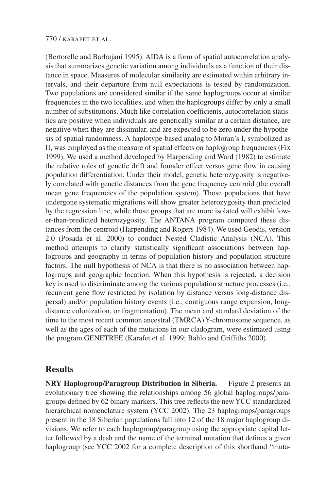(Bertorelle and Barbujani 1995). AIDA is a form of spatial autocorrelation analysis that summarizes genetic variation among individuals as a function of their distance in space. Measures of molecular similarity are estimated within arbitrary intervals, and their departure from null expectations is tested by randomization. Two populations are considered similar if the same haplogroups occur at similar frequencies in the two localities, and when the haplogroups differ by only a small number of substitutions. Much like correlation coefficients, autocorrelation statistics are positive when individuals are genetically similar at a certain distance, are negative when they are dissimilar, and are expected to be zero under the hypothesis of spatial randomness. A haplotype-based analog to Moran's I, symbolized as II, was employed as the measure of spatial effects on haplogroup frequencies (Fix 1999). We used a method developed by Harpending and Ward (1982) to estimate the relative roles of genetic drift and founder effect versus gene flow in causing population differentiation. Under their model, genetic heterozygosity is negatively correlated with genetic distances from the gene frequency centroid (the overall mean gene frequencies of the population system). Those populations that have undergone systematic migrations will show greater heterozygosity than predicted by the regression line, while those groups that are more isolated will exhibit lower-than-predicted heterozygosity. The ANTANA program computed these distances from the centroid (Harpending and Rogers 1984). We used Geodis, version 2.0 (Posada et al. 2000) to conduct Nested Cladistic Analysis (NCA). This method attempts to clarify statistically significant associations between haplogroups and geography in terms of population history and population structure factors. The null hypothesis of NCA is that there is no association between haplogroups and geographic location. When this hypothesis is rejected, a decision key is used to discriminate among the various population structure processes (i.e*.*, recurrent gene flow restricted by isolation by distance versus long-distance dispersal) and/or population history events (i.e., contiguous range expansion, longdistance colonization, or fragmentation). The mean and standard deviation of the time to the most recent common ancestral (TMRCA) Y-chromosome sequence, as well as the ages of each of the mutations in our cladogram, were estimated using the program GENETREE (Karafet et al. 1999; Bahlo and Griffiths 2000).

## **Results**

**NRY Haplogroup/Paragroup Distribution in Siberia.** Figure 2 presents an evolutionary tree showing the relationships among 56 global haplogroups/paragroups defined by 62 binary markers. This tree reflects the new YCC standardized hierarchical nomenclature system (YCC 2002). The 23 haplogroups/paragroups present in the 18 Siberian populations fall into 12 of the 18 major haplogroup divisions. We refer to each haplogroup/paragroup using the appropriate capital letter followed by a dash and the name of the terminal mutation that defines a given haplogroup (see YCC 2002 for a complete description of this shorthand "muta-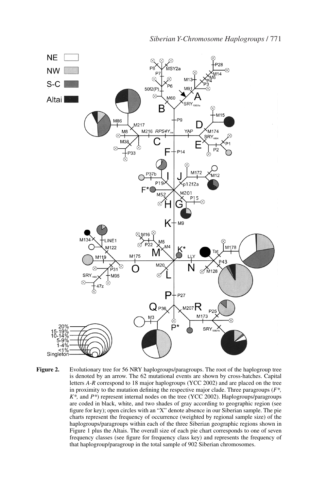

Figure 2. Evolutionary tree for 56 NRY haplogroups/paragroups. The root of the haplogroup tree is denoted by an arrow. The 62 mutational events are shown by cross-hatches. Capital letters *A-R* correspond to 18 major haplogroups (YCC 2002) and are placed on the tree in proximity to the mutation defining the respective major clade. Three paragroups (*F\*, K\*,* and *P\**) represent internal nodes on the tree (YCC 2002). Haplogroups/paragroups are coded in black, white, and two shades of gray according to geographic region (see figure for key); open circles with an "X" denote absence in our Siberian sample. The pie charts represent the frequency of occurrence (weighted by regional sample size) of the haplogroups/paragroups within each of the three Siberian geographic regions shown in Figure 1 plus the Altais. The overall size of each pie chart corresponds to one of seven frequency classes (see figure for frequency class key) and represents the frequency of that haplogroup/paragroup in the total sample of 902 Siberian chromosomes.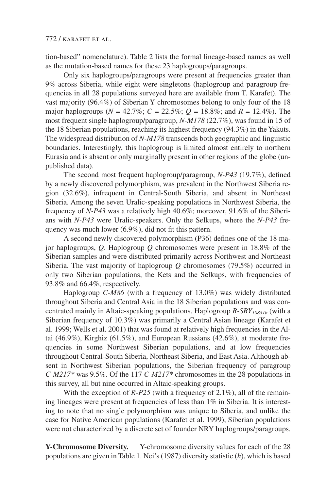tion-based" nomenclature). Table 2 lists the formal lineage-based names as well as the mutation-based names for these 23 haplogroups/paragroups.

Only six haplogroups/paragroups were present at frequencies greater than 9% across Siberia, while eight were singletons (haplogroup and paragroup frequencies in all 28 populations surveyed here are available from T. Karafet). The vast majority (96.4%) of Siberian Y chromosomes belong to only four of the 18 major haplogroups ( $N = 42.7\%$ ;  $C = 22.5\%$ ;  $Q = 18.8\%$ ; and  $R = 12.4\%$ ). The most frequent single haplogroup/paragroup, *N-M178* (22.7%), was found in 15 of the 18 Siberian populations, reaching its highest frequency (94.3%) in the Yakuts. The widespread distribution of *N-M178* transcends both geographic and linguistic boundaries. Interestingly, this haplogroup is limited almost entirely to northern Eurasia and is absent or only marginally present in other regions of the globe (unpublished data).

The second most frequent haplogroup/paragroup, *N-P43* (19.7%), defined by a newly discovered polymorphism, was prevalent in the Northwest Siberia region (32.6%), infrequent in Central-South Siberia, and absent in Northeast Siberia. Among the seven Uralic-speaking populations in Northwest Siberia, the frequency of *N-P43* was a relatively high 40.6%; moreover, 91.6% of the Siberians with *N-P43* were Uralic-speakers. Only the Selkups, where the *N-P43* frequency was much lower (6.9%), did not fit this pattern.

A second newly discovered polymorphism (P36) defines one of the 18 major haplogroups, *Q*. Haplogroup *Q* chromosomes were present in 18.8% of the Siberian samples and were distributed primarily across Northwest and Northeast Siberia. The vast majority of haplogroup *Q* chromosomes (79.5%) occurred in only two Siberian populations, the Kets and the Selkups, with frequencies of 93.8% and 66.4%, respectively.

Haplogroup *C-M86* (with a frequency of 13.0%) was widely distributed throughout Siberia and Central Asia in the 18 Siberian populations and was concentrated mainly in Altaic-speaking populations. Haplogroup *R-SRY<sub>10831b</sub>* (with a Siberian frequency of 10.3%) was primarily a Central Asian lineage (Karafet et al. 1999; Wells et al. 2001) that was found at relatively high frequencies in the Altai (46.9%), Kirghiz (61.5%), and European Russians (42.6%), at moderate frequencies in some Northwest Siberian populations, and at low frequencies throughout Central-South Siberia, Northeast Siberia, and East Asia. Although absent in Northwest Siberian populations, the Siberian frequency of paragroup *C-M217\** was 9.5%. Of the 117 *C-M217\** chromosomes in the 28 populations in this survey, all but nine occurred in Altaic-speaking groups.

With the exception of *R-P25* (with a frequency of 2.1%), all of the remaining lineages were present at frequencies of less than 1% in Siberia. It is interesting to note that no single polymorphism was unique to Siberia, and unlike the case for Native American populations (Karafet et al. 1999), Siberian populations were not characterized by a discrete set of founder NRY haplogroups/paragroups.

**Y-Chromosome Diversity.** Y-chromosome diversity values for each of the 28 populations are given in Table 1. Nei's (1987) diversity statistic (*h*), which is based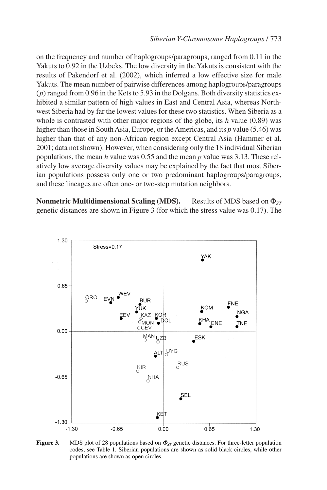on the frequency and number of haplogroups/paragroups, ranged from 0.11 in the Yakuts to 0.92 in the Uzbeks. The low diversity in the Yakuts is consistent with the results of Pakendorf et al. (2002), which inferred a low effective size for male Yakuts. The mean number of pairwise differences among haplogroups/paragroups (*p*) ranged from 0.96 in the Kets to 5.93 in the Dolgans. Both diversity statistics exhibited a similar pattern of high values in East and Central Asia, whereas Northwest Siberia had by far the lowest values for these two statistics. When Siberia as a whole is contrasted with other major regions of the globe, its *h* value (0.89) was higher than those in South Asia, Europe, or the Americas, and its *p* value (5.46) was higher than that of any non-African region except Central Asia (Hammer et al. 2001; data not shown). However, when considering only the 18 individual Siberian populations, the mean *h* value was 0.55 and the mean *p* value was 3.13. These relatively low average diversity values may be explained by the fact that most Siberian populations possess only one or two predominant haplogroups/paragroups, and these lineages are often one- or two-step mutation neighbors.

**Nonmetric Multidimensional Scaling (MDS).** Results of MDS based on Φ<sub>*ST*</sub> genetic distances are shown in Figure 3 (for which the stress value was 0.17). The



**Figure 3.** MDS plot of 28 populations based on <sup>Φ</sup>*ST* genetic distances. For three-letter population codes, see Table 1. Siberian populations are shown as solid black circles, while other populations are shown as open circles.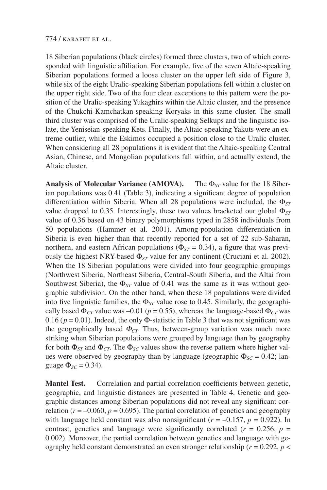18 Siberian populations (black circles) formed three clusters, two of which corresponded with linguistic affiliation. For example, five of the seven Altaic-speaking Siberian populations formed a loose cluster on the upper left side of Figure 3, while six of the eight Uralic-speaking Siberian populations fell within a cluster on the upper right side. Two of the four clear exceptions to this pattern were the position of the Uralic-speaking Yukaghirs within the Altaic cluster, and the presence of the Chukchi-Kamchatkan-speaking Koryaks in this same cluster. The small third cluster was comprised of the Uralic-speaking Selkups and the linguistic isolate, the Yeniseian-speaking Kets. Finally, the Altaic-speaking Yakuts were an extreme outlier, while the Eskimos occupied a position close to the Uralic cluster. When considering all 28 populations it is evident that the Altaic-speaking Central Asian, Chinese, and Mongolian populations fall within, and actually extend, the Altaic cluster.

**Analysis of Molecular Variance (AMOVA).** The Φ*ST* value for the 18 Siberian populations was 0.41 (Table 3), indicating a significant degree of population differentiation within Siberia. When all 28 populations were included, the Φ*ST* value dropped to 0.35. Interestingly, these two values bracketed our global Φ*ST* value of 0.36 based on 43 binary polymorphisms typed in 2858 individuals from 50 populations (Hammer et al. 2001). Among-population differentiation in Siberia is even higher than that recently reported for a set of 22 sub-Saharan, northern, and eastern African populations ( $\Phi_{ST} = 0.34$ ), a figure that was previously the highest NRY-based  $\Phi_{ST}$  value for any continent (Cruciani et al. 2002). When the 18 Siberian populations were divided into four geographic groupings (Northwest Siberia, Northeast Siberia, Central-South Siberia, and the Altai from Southwest Siberia), the  $\Phi_{ST}$  value of 0.41 was the same as it was without geographic subdivision. On the other hand, when these 18 populations were divided into five linguistic families, the  $\Phi_{ST}$  value rose to 0.45. Similarly, the geographically based  $\Phi_{CT}$  value was –0.01 ( $p = 0.55$ ), whereas the language-based  $\Phi_{CT}$  was 0.16 ( $p = 0.01$ ). Indeed, the only  $\Phi$ -statistic in Table 3 that was not significant was the geographically based  $\Phi_{CT}$ . Thus, between-group variation was much more striking when Siberian populations were grouped by language than by geography for both  $\Phi_{ST}$  and  $\Phi_{CT}$ . The  $\Phi_{SC}$  values show the reverse pattern where higher values were observed by geography than by language (geographic  $\Phi_{SC} = 0.42$ ; language  $Φ<sub>SC</sub> = 0.34$ ).

**Mantel Test.** Correlation and partial correlation coefficients between genetic, geographic, and linguistic distances are presented in Table 4. Genetic and geographic distances among Siberian populations did not reveal any significant correlation ( $r = -0.060$ ,  $p = 0.695$ ). The partial correlation of genetics and geography with language held constant was also nonsignificant  $(r = -0.157, p = 0.922)$ . In contrast, genetics and language were significantly correlated ( $r = 0.256$ ,  $p =$ 0.002). Moreover, the partial correlation between genetics and language with geography held constant demonstrated an even stronger relationship ( $r = 0.292$ ,  $p <$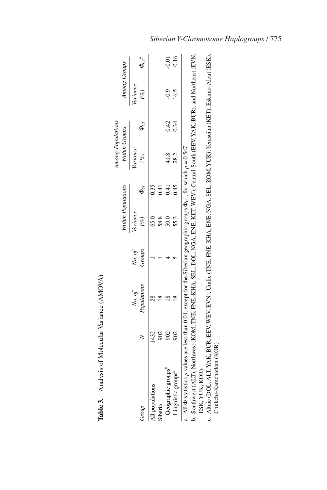|                                                                                                                                            |                       |                  | Within Populations |             | Among-Populations<br>Within Groups |                          | Among Groups              |                                             |
|--------------------------------------------------------------------------------------------------------------------------------------------|-----------------------|------------------|--------------------|-------------|------------------------------------|--------------------------|---------------------------|---------------------------------------------|
| Group                                                                                                                                      | Populations<br>No. of | Groups<br>No. of | ariance<br>(%)     | $\Phi_{ST}$ | <i>ariance</i><br>$(\%)$           | $\boldsymbol{\phi}_{CT}$ | <i>lariance</i><br>$(\%)$ | $\boldsymbol{\varPhi}_{CT}^{\phantom{CT}a}$ |
| All populations                                                                                                                            |                       |                  | 65.0               | 0.35        |                                    |                          |                           |                                             |
| Siberia                                                                                                                                    |                       |                  | 58.8               |             |                                    |                          |                           |                                             |
| Geographic groups <sup>t</sup>                                                                                                             |                       |                  | 59.0               |             | 41.8                               | 0.42                     | $-9.9$                    | $-0.01$                                     |
| Linguistic groups <sup>®</sup>                                                                                                             |                       |                  | 55.3               | 0.45        | 28.2                               | .34                      | 16.5                      | 0.16                                        |
| a. All $\Phi$ -statistics p values are less than 0.01, except for the Siberian geographic groups $\Phi_{\rm cr}$ , for which $p = 0.547$ . |                       |                  |                    |             |                                    |                          |                           |                                             |
| b. Southwest (ALT), Northwest (KOM, TNE, FNE, KHA, SEL, DOL, NGA, ENE, KET, WEV), Central-South (EEV, YAK, BUR), and Northeast (EVN,       |                       |                  |                    |             |                                    |                          |                           |                                             |
| ESK, YUK, KOR)                                                                                                                             |                       |                  |                    |             |                                    |                          |                           |                                             |
| c. Altaic (DOL. ALT, YAK, BUR, EEV, WEY, EVN), Uralic (TNE, FNE, KHA, ENE, NGA, SEL, KOM, YUK), Yeniseian (KET), Eskimo-Aleut (ESK),       |                       |                  |                    |             |                                    |                          |                           |                                             |

| ı<br>İ<br>$-1$<br>ı        |
|----------------------------|
| くくさん<br>ı<br>ı<br>l        |
| i<br>i<br>j<br>ĺ<br>ı<br>Ó |
| ኄ                          |
| ;                          |

Chukchi-Kamchatkan (KOR) Chukchi-Kamchatkan (KOR)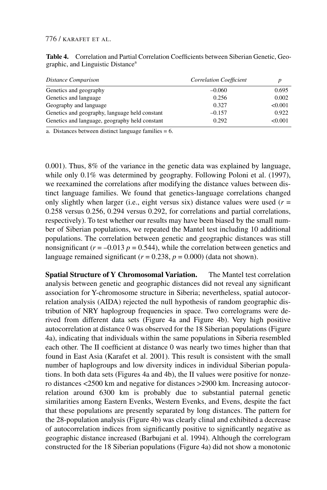**Table 4.** Correlation and Partial Correlation Coefficients between Siberian Genetic, Geographic, and Linguistic Distance<sup>a</sup>

| Distance Comparison                            | <b>Correlation Coefficient</b> |         |
|------------------------------------------------|--------------------------------|---------|
| Genetics and geography                         | $-0.060$                       | 0.695   |
| Genetics and language                          | 0.256                          | 0.002   |
| Geography and language                         | 0.327                          | < 0.001 |
| Genetics and geography, language held constant | $-0.157$                       | 0.922   |
| Genetics and language, geography held constant | 0.292                          | < 0.001 |

a. Distances between distinct language families = 6.

0.001). Thus, 8% of the variance in the genetic data was explained by language, while only 0.1% was determined by geography. Following Poloni et al. (1997), we reexamined the correlations after modifying the distance values between distinct language families. We found that genetics-language correlations changed only slightly when larger (i.e., eight versus six) distance values were used  $(r =$ 0.258 versus 0.256, 0.294 versus 0.292, for correlations and partial correlations, respectively). To test whether our results may have been biased by the small number of Siberian populations, we repeated the Mantel test including 10 additional populations. The correlation between genetic and geographic distances was still nonsignificant ( $r = -0.013$   $p = 0.544$ ), while the correlation between genetics and language remained significant ( $r = 0.238$ ,  $p = 0.000$ ) (data not shown).

**Spatial Structure of Y Chromosomal Variation.** The Mantel test correlation analysis between genetic and geographic distances did not reveal any significant association for Y-chromosome structure in Siberia; nevertheless, spatial autocorrelation analysis (AIDA) rejected the null hypothesis of random geographic distribution of NRY haplogroup frequencies in space. Two correlograms were derived from different data sets (Figure 4a and Figure 4b). Very high positive autocorrelation at distance 0 was observed for the 18 Siberian populations (Figure 4a), indicating that individuals within the same populations in Siberia resembled each other. The II coefficient at distance 0 was nearly two times higher than that found in East Asia (Karafet et al. 2001). This result is consistent with the small number of haplogroups and low diversity indices in individual Siberian populations. In both data sets (Figures 4a and 4b), the II values were positive for nonzero distances <2500 km and negative for distances >2900 km. Increasing autocorrelation around 6300 km is probably due to substantial paternal genetic similarities among Eastern Evenks, Western Evenks, and Evens, despite the fact that these populations are presently separated by long distances. The pattern for the 28-population analysis (Figure 4b) was clearly clinal and exhibited a decrease of autocorrelation indices from significantly positive to significantly negative as geographic distance increased (Barbujani et al. 1994). Although the correlogram constructed for the 18 Siberian populations (Figure 4a) did not show a monotonic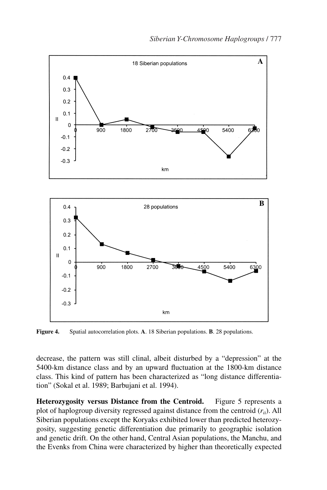



**Figure 4.** Spatial autocorrelation plots. **A**. 18 Siberian populations. **B**. 28 populations.

decrease, the pattern was still clinal, albeit disturbed by a "depression" at the 5400-km distance class and by an upward fluctuation at the 1800-km distance class. This kind of pattern has been characterized as "long distance differentiation" (Sokal et al. 1989; Barbujani et al. 1994).

**Heterozygosity versus Distance from the Centroid.** Figure 5 represents a plot of haplogroup diversity regressed against distance from the centroid (*rii*). All Siberian populations except the Koryaks exhibited lower than predicted heterozygosity, suggesting genetic differentiation due primarily to geographic isolation and genetic drift. On the other hand, Central Asian populations, the Manchu, and the Evenks from China were characterized by higher than theoretically expected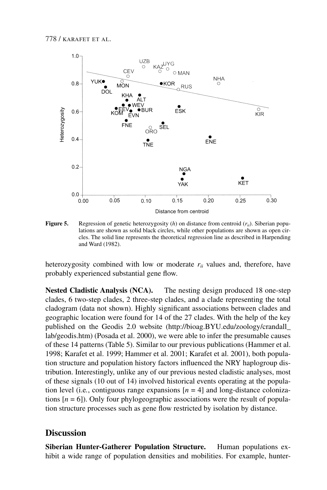

**Figure 5.** Regression of genetic heterozygosity (*h*) on distance from centroid (*rii*). Siberian populations are shown as solid black circles, while other populations are shown as open circles. The solid line represents the theoretical regression line as described in Harpending and Ward (1982).

heterozygosity combined with low or moderate *rii* values and, therefore, have probably experienced substantial gene flow.

**Nested Cladistic Analysis (NCA).** The nesting design produced 18 one-step clades, 6 two-step clades, 2 three-step clades, and a clade representing the total cladogram (data not shown). Highly significant associations between clades and geographic location were found for 14 of the 27 clades. With the help of the key published on the Geodis 2.0 website (http://bioag.BYU.edu/zoology/crandall\_ lab/geodis.htm) (Posada et al. 2000), we were able to infer the presumable causes of these 14 patterns (Table 5). Similar to our previous publications (Hammer et al. 1998; Karafet et al. 1999; Hammer et al. 2001; Karafet et al. 2001), both population structure and population history factors influenced the NRY haplogroup distribution. Interestingly, unlike any of our previous nested cladistic analyses, most of these signals (10 out of 14) involved historical events operating at the population level (i.e., contiguous range expansions  $[n = 4]$  and long-distance colonizations  $[n = 6]$ ). Only four phylogeographic associations were the result of population structure processes such as gene flow restricted by isolation by distance.

## **Discussion**

**Siberian Hunter-Gatherer Population Structure.** Human populations exhibit a wide range of population densities and mobilities. For example, hunter-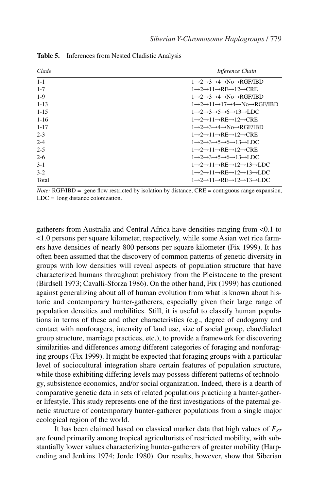| Clade     | Inference Chain                                                                               |
|-----------|-----------------------------------------------------------------------------------------------|
| $1 - 1$   | $1 \rightarrow 2 \rightarrow 3 \rightarrow 4 \rightarrow$ No→RGF/IBD                          |
| $1 - 7$   | $1 \rightarrow 2 \rightarrow 11 \rightarrow RE \rightarrow 12 \rightarrow CRE$                |
| $1-9$     | $1 \rightarrow 2 \rightarrow 3 \rightarrow 4 \rightarrow$ No→RGF/IBD                          |
| $1 - 13$  | 1→2→11→17→4→No→RGF/IBD                                                                        |
| $1 - 1.5$ | $1 \rightarrow 2 \rightarrow 3 \rightarrow 5 \rightarrow 6 \rightarrow 13 \rightarrow LDC$    |
| $1 - 16$  | $1 \rightarrow 2 \rightarrow 11 \rightarrow RE \rightarrow 12 \rightarrow CRE$                |
| $1 - 17$  | $1 \rightarrow 2 \rightarrow 3 \rightarrow 4 \rightarrow$ No $\rightarrow$ RGF/IRD            |
| $2 - 3$   | $1 \rightarrow 2 \rightarrow 11 \rightarrow RE \rightarrow 12 \rightarrow CRE$                |
| $2 - 4$   | $1 \rightarrow 2 \rightarrow 3 \rightarrow 5 \rightarrow 6 \rightarrow 13 \rightarrow$ LDC    |
| $2 - 5$   | $1 \rightarrow 2 \rightarrow 11 \rightarrow RE \rightarrow 12 \rightarrow CRE$                |
| $2-6$     | $1 \rightarrow 2 \rightarrow 3 \rightarrow 5 \rightarrow 6 \rightarrow 13 \rightarrow$ LDC    |
| $3-1$     | $1 \rightarrow 2 \rightarrow 11 \rightarrow RE \rightarrow 12 \rightarrow 13 \rightarrow LDC$ |
| $3-2$     | $1 \rightarrow 2 \rightarrow 11 \rightarrow RE \rightarrow 12 \rightarrow 13 \rightarrow LDC$ |
| Total     | $1 \rightarrow 2 \rightarrow 11 \rightarrow RE \rightarrow 12 \rightarrow 13 \rightarrow LDC$ |

**Table 5.** Inferences from Nested Cladistic Analysis

*Note:* RGF/IBD = gene flow restricted by isolation by distance, CRE = contiguous range expansion, LDC = long distance colonization.

gatherers from Australia and Central Africa have densities ranging from <0.1 to <1.0 persons per square kilometer, respectively, while some Asian wet rice farmers have densities of nearly 800 persons per square kilometer (Fix 1999). It has often been assumed that the discovery of common patterns of genetic diversity in groups with low densities will reveal aspects of population structure that have characterized humans throughout prehistory from the Pleistocene to the present (Birdsell 1973; Cavalli-Sforza 1986). On the other hand, Fix (1999) has cautioned against generalizing about all of human evolution from what is known about historic and contemporary hunter-gatherers, especially given their large range of population densities and mobilities. Still, it is useful to classify human populations in terms of these and other characteristics (e.g., degree of endogamy and contact with nonforagers, intensity of land use, size of social group, clan/dialect group structure, marriage practices, etc.), to provide a framework for discovering similarities and differences among different categories of foraging and nonforaging groups (Fix 1999). It might be expected that foraging groups with a particular level of sociocultural integration share certain features of population structure, while those exhibiting differing levels may possess different patterns of technology, subsistence economics, and/or social organization. Indeed, there is a dearth of comparative genetic data in sets of related populations practicing a hunter-gatherer lifestyle. This study represents one of the first investigations of the paternal genetic structure of contemporary hunter-gatherer populations from a single major ecological region of the world.

It has been claimed based on classical marker data that high values of  $F_{ST}$ are found primarily among tropical agriculturists of restricted mobility, with substantially lower values characterizing hunter-gatherers of greater mobility (Harpending and Jenkins 1974; Jorde 1980). Our results, however, show that Siberian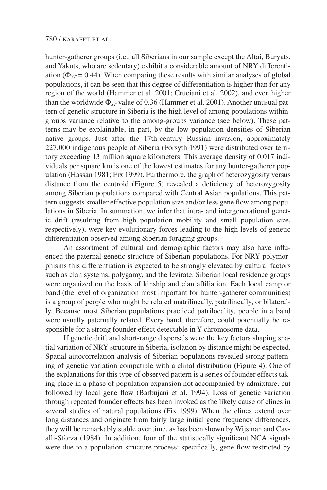hunter-gatherer groups (i.e., all Siberians in our sample except the Altai, Buryats, and Yakuts, who are sedentary) exhibit a considerable amount of NRY differentiation ( $\Phi_{ST}$  = 0.44). When comparing these results with similar analyses of global populations, it can be seen that this degree of differentiation is higher than for any region of the world (Hammer et al. 2001; Cruciani et al. 2002), and even higher than the worldwide Φ*ST* value of 0.36 (Hammer et al. 2001). Another unusual pattern of genetic structure in Siberia is the high level of among-populations withingroups variance relative to the among-groups variance (see below). These patterns may be explainable, in part, by the low population densities of Siberian native groups. Just after the 17th-century Russian invasion, approximately 227,000 indigenous people of Siberia (Forsyth 1991) were distributed over territory exceeding 13 million square kilometers. This average density of 0.017 individuals per square km is one of the lowest estimates for any hunter-gatherer population (Hassan 1981; Fix 1999). Furthermore, the graph of heterozygosity versus distance from the centroid (Figure 5) revealed a deficiency of heterozygosity among Siberian populations compared with Central Asian populations. This pattern suggests smaller effective population size and/or less gene flow among populations in Siberia. In summation, we infer that intra- and intergenerational genetic drift (resulting from high population mobility and small population size, respectively), were key evolutionary forces leading to the high levels of genetic differentiation observed among Siberian foraging groups.

An assortment of cultural and demographic factors may also have influenced the paternal genetic structure of Siberian populations. For NRY polymorphisms this differentiation is expected to be strongly elevated by cultural factors such as clan systems, polygamy, and the levirate. Siberian local residence groups were organized on the basis of kinship and clan affiliation. Each local camp or band (the level of organization most important for hunter-gatherer communities) is a group of people who might be related matrilineally, patrilineally, or bilaterally. Because most Siberian populations practiced patrilocality, people in a band were usually paternally related. Every band, therefore, could potentially be responsible for a strong founder effect detectable in Y-chromosome data.

If genetic drift and short-range dispersals were the key factors shaping spatial variation of NRY structure in Siberia, isolation by distance might be expected. Spatial autocorrelation analysis of Siberian populations revealed strong patterning of genetic variation compatible with a clinal distribution (Figure 4). One of the explanations for this type of observed pattern is a series of founder effects taking place in a phase of population expansion not accompanied by admixture, but followed by local gene flow (Barbujani et al. 1994). Loss of genetic variation through repeated founder effects has been invoked as the likely cause of clines in several studies of natural populations (Fix 1999). When the clines extend over long distances and originate from fairly large initial gene frequency differences, they will be remarkably stable over time, as has been shown by Wijsman and Cavalli-Sforza (1984). In addition, four of the statistically significant NCA signals were due to a population structure process: specifically, gene flow restricted by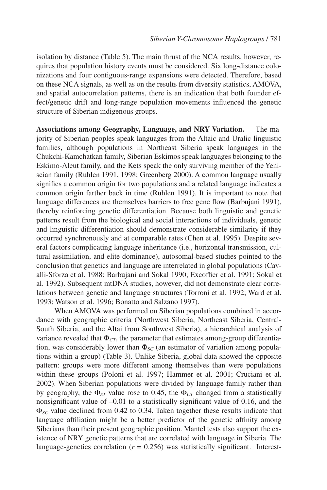isolation by distance (Table 5). The main thrust of the NCA results, however, requires that population history events must be considered. Six long-distance colonizations and four contiguous-range expansions were detected. Therefore, based on these NCA signals, as well as on the results from diversity statistics, AMOVA, and spatial autocorrelation patterns, there is an indication that both founder effect/genetic drift and long-range population movements influenced the genetic structure of Siberian indigenous groups.

**Associations among Geography, Language, and NRY Variation.** The majority of Siberian peoples speak languages from the Altaic and Uralic linguistic families, although populations in Northeast Siberia speak languages in the Chukchi-Kamchatkan family, Siberian Eskimos speak languages belonging to the Eskimo-Aleut family, and the Kets speak the only surviving member of the Yeniseian family (Ruhlen 1991, 1998; Greenberg 2000). A common language usually signifies a common origin for two populations and a related language indicates a common origin farther back in time (Ruhlen 1991). It is important to note that language differences are themselves barriers to free gene flow (Barbujani 1991), thereby reinforcing genetic differentiation. Because both linguistic and genetic patterns result from the biological and social interactions of individuals, genetic and linguistic differentiation should demonstrate considerable similarity if they occurred synchronously and at comparable rates (Chen et al. 1995). Despite several factors complicating language inheritance (i.e., horizontal transmission, cultural assimilation, and elite dominance), autosomal-based studies pointed to the conclusion that genetics and language are interrelated in global populations (Cavalli-Sforza et al. 1988; Barbujani and Sokal 1990; Excoffier et al. 1991; Sokal et al. 1992). Subsequent mtDNA studies, however, did not demonstrate clear correlations between genetic and language structures (Torroni et al. 1992; Ward et al. 1993; Watson et al. 1996; Bonatto and Salzano 1997).

When AMOVA was performed on Siberian populations combined in accordance with geographic criteria (Northwest Siberia, Northeast Siberia, Central-South Siberia, and the Altai from Southwest Siberia), a hierarchical analysis of variance revealed that  $\Phi_{CT}$ , the parameter that estimates among-group differentiation, was considerably lower than  $\Phi_{SC}$  (an estimator of variation among populations within a group) (Table 3). Unlike Siberia, global data showed the opposite pattern: groups were more different among themselves than were populations within these groups (Poloni et al. 1997; Hammer et al. 2001; Cruciani et al. 2002). When Siberian populations were divided by language family rather than by geography, the  $\Phi_{ST}$  value rose to 0.45, the  $\Phi_{CT}$  changed from a statistically nonsignificant value of –0.01 to a statistically significant value of 0.16, and the Φ*SC* value declined from 0.42 to 0.34. Taken together these results indicate that language affiliation might be a better predictor of the genetic affinity among Siberians than their present geographic position. Mantel tests also support the existence of NRY genetic patterns that are correlated with language in Siberia. The language-genetics correlation  $(r = 0.256)$  was statistically significant. Interest-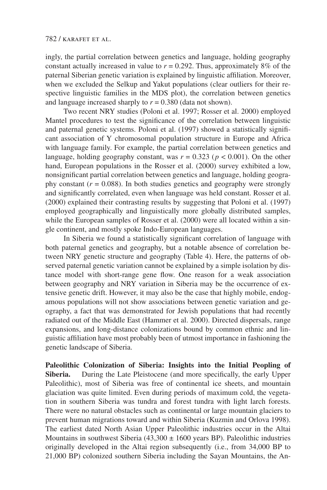ingly, the partial correlation between genetics and language, holding geography constant actually increased in value to  $r = 0.292$ . Thus, approximately 8% of the paternal Siberian genetic variation is explained by linguistic affiliation. Moreover, when we excluded the Selkup and Yakut populations (clear outliers for their respective linguistic families in the MDS plot), the correlation between genetics and language increased sharply to  $r = 0.380$  (data not shown).

Two recent NRY studies (Poloni et al. 1997; Rosser et al. 2000) employed Mantel procedures to test the significance of the correlation between linguistic and paternal genetic systems. Poloni et al. (1997) showed a statistically significant association of Y chromosomal population structure in Europe and Africa with language family. For example, the partial correlation between genetics and language, holding geography constant, was  $r = 0.323$  ( $p < 0.001$ ). On the other hand, European populations in the Rosser et al. (2000) survey exhibited a low, nonsignificant partial correlation between genetics and language, holding geography constant  $(r = 0.088)$ . In both studies genetics and geography were strongly and significantly correlated, even when language was held constant. Rosser et al. (2000) explained their contrasting results by suggesting that Poloni et al. (1997) employed geographically and linguistically more globally distributed samples, while the European samples of Rosser et al. (2000) were all located within a single continent, and mostly spoke Indo-European languages.

In Siberia we found a statistically significant correlation of language with both paternal genetics and geography, but a notable absence of correlation between NRY genetic structure and geography (Table 4). Here, the patterns of observed paternal genetic variation cannot be explained by a simple isolation by distance model with short-range gene flow. One reason for a weak association between geography and NRY variation in Siberia may be the occurrence of extensive genetic drift. However, it may also be the case that highly mobile, endogamous populations will not show associations between genetic variation and geography, a fact that was demonstrated for Jewish populations that had recently radiated out of the Middle East (Hammer et al. 2000). Directed dispersals, range expansions, and long-distance colonizations bound by common ethnic and linguistic affiliation have most probably been of utmost importance in fashioning the genetic landscape of Siberia.

**Paleolithic Colonization of Siberia: Insights into the Initial Peopling of Siberia.** During the Late Pleistocene (and more specifically, the early Upper Paleolithic), most of Siberia was free of continental ice sheets, and mountain glaciation was quite limited. Even during periods of maximum cold, the vegetation in southern Siberia was tundra and forest tundra with light larch forests. There were no natural obstacles such as continental or large mountain glaciers to prevent human migrations toward and within Siberia (Kuzmin and Orlova 1998). The earliest dated North Asian Upper Paleolithic industries occur in the Altai Mountains in southwest Siberia (43,300  $\pm$  1600 years BP). Paleolithic industries originally developed in the Altai region subsequently (i.e., from 34,000 BP to 21,000 BP) colonized southern Siberia including the Sayan Mountains, the An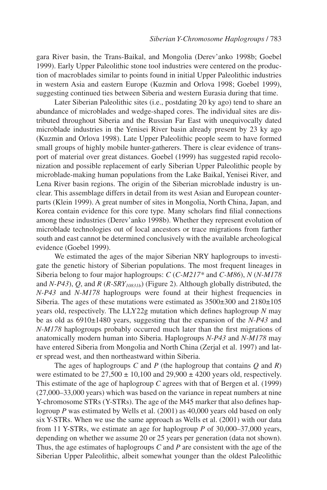gara River basin, the Trans-Baikal, and Mongolia (Derev'anko 1998b; Goebel 1999). Early Upper Paleolithic stone tool industries were centered on the production of macroblades similar to points found in initial Upper Paleolithic industries in western Asia and eastern Europe (Kuzmin and Orlova 1998; Goebel 1999), suggesting continued ties between Siberia and western Eurasia during that time.

Later Siberian Paleolithic sites (i.e., postdating 20 ky ago) tend to share an abundance of microblades and wedge-shaped cores. The individual sites are distributed throughout Siberia and the Russian Far East with unequivocally dated microblade industries in the Yenisei River basin already present by 23 ky ago (Kuzmin and Orlova 1998). Late Upper Paleolithic people seem to have formed small groups of highly mobile hunter-gatherers. There is clear evidence of transport of material over great distances. Goebel (1999) has suggested rapid recolonization and possible replacement of early Siberian Upper Paleolithic people by microblade-making human populations from the Lake Baikal, Yenisei River, and Lena River basin regions. The origin of the Siberian microblade industry is unclear. This assemblage differs in detail from its west Asian and European counterparts (Klein 1999). A great number of sites in Mongolia, North China, Japan, and Korea contain evidence for this core type. Many scholars find filial connections among these industries (Derev'anko 1998b). Whether they represent evolution of microblade technologies out of local ancestors or trace migrations from farther south and east cannot be determined conclusively with the available archeological evidence (Goebel 1999).

We estimated the ages of the major Siberian NRY haplogroups to investigate the genetic history of Siberian populations. The most frequent lineages in Siberia belong to four major haplogroups: *C* (*C-M217\** and *C-M86*), *N* (*N-M178* and *N-P43*), *Q*, and *R* (*R-SRY<sub>10831b</sub>*) (Figure 2). Although globally distributed, the *N-P43* and *N-M178* haplogroups were found at their highest frequencies in Siberia. The ages of these mutations were estimated as  $3500\pm300$  and  $2180\pm105$ years old, respectively. The LLY22g mutation which defines haplogroup *N* may be as old as 6910±1480 years, suggesting that the expansion of the *N-P43* and *N-M178* haplogroups probably occurred much later than the first migrations of anatomically modern human into Siberia. Haplogroups *N-P43* and *N-M178* may have entered Siberia from Mongolia and North China (Zerjal et al. 1997) and later spread west, and then northeastward within Siberia.

The ages of haplogroups *C* and *P* (the haplogroup that contains *Q* and *R*) were estimated to be  $27,500 \pm 10,100$  and  $29,900 \pm 4200$  years old, respectively. This estimate of the age of haplogroup *C* agrees with that of Bergen et al. (1999) (27,000–33,000 years) which was based on the variance in repeat numbers at nine Y-chromosome STRs (Y-STRs). The age of the M45 marker that also defines haplogroup *P* was estimated by Wells et al. (2001) as 40,000 years old based on only six Y-STRs. When we use the same approach as Wells et al. (2001) with our data from 11 Y-STRs, we estimate an age for haplogroup *P* of 30,000–37,000 years, depending on whether we assume 20 or 25 years per generation (data not shown). Thus, the age estimates of haplogroups *C* and *P* are consistent with the age of the Siberian Upper Paleolithic, albeit somewhat younger than the oldest Paleolithic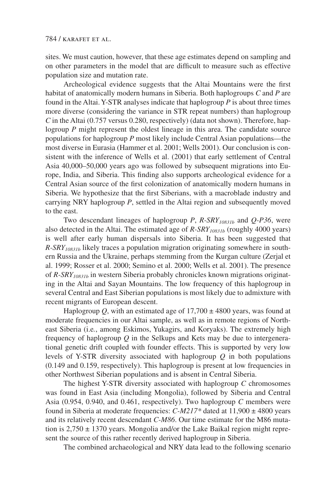sites. We must caution, however, that these age estimates depend on sampling and on other parameters in the model that are difficult to measure such as effective population size and mutation rate.

Archeological evidence suggests that the Altai Mountains were the first habitat of anatomically modern humans in Siberia. Both haplogroups *C* and *P* are found in the Altai. Y-STR analyses indicate that haplogroup *P* is about three times more diverse (considering the variance in STR repeat numbers) than haplogroup *C* in the Altai (0.757 versus 0.280, respectively) (data not shown). Therefore, haplogroup *P* might represent the oldest lineage in this area. The candidate source populations for haplogroup *P* most likely include Central Asian populations—the most diverse in Eurasia (Hammer et al. 2001; Wells 2001). Our conclusion is consistent with the inference of Wells et al. (2001) that early settlement of Central Asia 40,000–50,000 years ago was followed by subsequent migrations into Europe, India, and Siberia. This finding also supports archeological evidence for a Central Asian source of the first colonization of anatomically modern humans in Siberia. We hypothesize that the first Siberians, with a macroblade industry and carrying NRY haplogroup *P*, settled in the Altai region and subsequently moved to the east.

Two descendant lineages of haplogroup *P*, *R-SRY10831b* and *Q-P36*, were also detected in the Altai. The estimated age of *R-SRY10831b* (roughly 4000 years) is well after early human dispersals into Siberia. It has been suggested that *R-SRY10831b* likely traces a population migration originating somewhere in southern Russia and the Ukraine, perhaps stemming from the Kurgan culture (Zerjal et al. 1999; Rosser et al. 2000; Semino et al. 2000; Wells et al. 2001). The presence of *R-SRY10831b* in western Siberia probably chronicles known migrations originating in the Altai and Sayan Mountains. The low frequency of this haplogroup in several Central and East Siberian populations is most likely due to admixture with recent migrants of European descent.

Haplogroup  $Q$ , with an estimated age of  $17,700 \pm 4800$  years, was found at moderate frequencies in our Altai sample, as well as in remote regions of Northeast Siberia (i.e*.*, among Eskimos, Yukagirs, and Koryaks). The extremely high frequency of haplogroup *Q* in the Selkups and Kets may be due to intergenerational genetic drift coupled with founder effects. This is supported by very low levels of Y-STR diversity associated with haplogroup *Q* in both populations (0.149 and 0.159, respectively). This haplogroup is present at low frequencies in other Northwest Siberian populations and is absent in Central Siberia.

The highest Y-STR diversity associated with haplogroup *C* chromosomes was found in East Asia (including Mongolia), followed by Siberia and Central Asia (0.954, 0.940, and 0.461, respectively). Two haplogroup *C* members were found in Siberia at moderate frequencies:  $C-M217*$  dated at 11,900  $\pm$  4800 years and its relatively recent descendant *C-M86*. Our time estimate for the M86 mutation is  $2,750 \pm 1370$  years. Mongolia and/or the Lake Baikal region might represent the source of this rather recently derived haplogroup in Siberia.

The combined archaeological and NRY data lead to the following scenario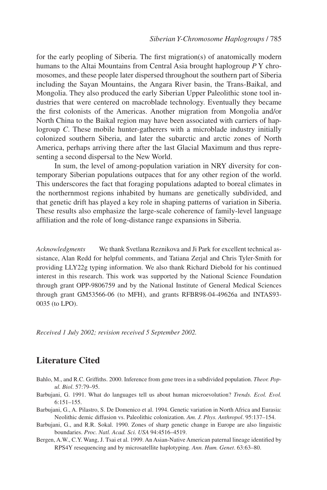for the early peopling of Siberia. The first migration(s) of anatomically modern humans to the Altai Mountains from Central Asia brought haplogroup *P* Y chromosomes, and these people later dispersed throughout the southern part of Siberia including the Sayan Mountains, the Angara River basin, the Trans-Baikal, and Mongolia. They also produced the early Siberian Upper Paleolithic stone tool industries that were centered on macroblade technology. Eventually they became the first colonists of the Americas. Another migration from Mongolia and/or North China to the Baikal region may have been associated with carriers of haplogroup *C*. These mobile hunter-gatherers with a microblade industry initially colonized southern Siberia, and later the subarctic and arctic zones of North America, perhaps arriving there after the last Glacial Maximum and thus representing a second dispersal to the New World.

In sum, the level of among-population variation in NRY diversity for contemporary Siberian populations outpaces that for any other region of the world. This underscores the fact that foraging populations adapted to boreal climates in the northernmost regions inhabited by humans are genetically subdivided, and that genetic drift has played a key role in shaping patterns of variation in Siberia. These results also emphasize the large-scale coherence of family-level language affiliation and the role of long-distance range expansions in Siberia.

*Acknowledgments* We thank Svetlana Reznikova and Ji Park for excellent technical assistance, Alan Redd for helpful comments, and Tatiana Zerjal and Chris Tyler-Smith for providing LLY22g typing information. We also thank Richard Diebold for his continued interest in this research. This work was supported by the National Science Foundation through grant OPP-9806759 and by the National Institute of General Medical Sciences through grant GM53566-06 (to MFH), and grants RFBR98-04-49626a and INTAS93- 0035 (to LPO).

*Received 1 July 2002; revision received 5 September 2002.* 

## **Literature Cited**

- Bahlo, M., and R.C. Griffiths. 2000. Inference from gene trees in a subdivided population. *Theor. Popul. Biol*. 57:79–95.
- Barbujani, G. 1991. What do languages tell us about human microevolution? *Trends. Ecol. Evol.* 6:151–155.
- Barbujani, G., A. Pilastro, S. De Domenico et al. 1994. Genetic variation in North Africa and Eurasia: Neolithic demic diffusion vs. Paleolithic colonization. *Am. J. Phys. Anthropol*. 95:137–154.
- Barbujani, G., and R.R. Sokal. 1990. Zones of sharp genetic change in Europe are also linguistic boundaries. *Proc. Natl. Acad. Sci. USA* 94:4516–4519.
- Bergen, A.W., C.Y. Wang, J. Tsai et al. 1999. An Asian-Native American paternal lineage identified by RPS4Y resequencing and by microsatellite haplotyping. *Ann. Hum. Genet*. 63:63–80.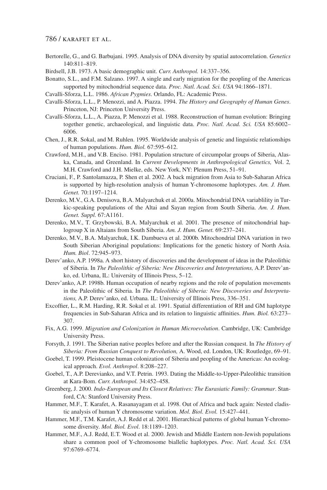- Bertorelle, G., and G. Barbujani. 1995. Analysis of DNA diversity by spatial autocorrelation. *Genetics* 140:811–819.
- Birdsell, J.B. 1973. A basic demographic unit. *Curr. Anthropol.* 14:337–356.
- Bonatto, S.L., and F.M. Salzano. 1997. A single and early migration for the peopling of the Americas supported by mitochondrial sequence data. *Proc. Natl. Acad. Sci. USA* 94:1866–1871.
- Cavalli-Sforza, L.L. 1986. *African Pygmies*. Orlando, FL: Academic Press.
- Cavalli-Sforza, L.L., P. Menozzi, and A. Piazza. 1994. *The History and Geography of Human Genes*. Princeton, NJ: Princeton University Press.
- Cavalli-Sforza, L.L., A. Piazza, P. Menozzi et al. 1988. Reconstruction of human evolution: Bringing together genetic, archaeological, and linguistic data. *Proc. Natl. Acad. Sci. USA* 85:6002– 6006.
- Chen, J., R.R. Sokal, and M. Ruhlen. 1995. Worldwide analysis of genetic and linguistic relationships of human populations. *Hum. Biol.* 67:595–612.
- Crawford, M.H., and V.B. Enciso. 1981. Population structure of circumpolar groups of Siberia, Alaska, Canada, and Greenland. In *Current Developments in Anthropological Genetics,* Vol. 2*,* M.H. Crawford and J.H. Mielke, eds. New York, NY: Plenum Press, 51–91.
- Cruciani, F., P. Santolamazza, P. Shen et al. 2002. A back migration from Asia to Sub-Saharan Africa is supported by high-resolution analysis of human Y-chromosome haplotypes. *Am. J. Hum. Genet.* 70:1197–1214.
- Derenko, M.V., G.A. Denisova, B.A. Malyarchuk et al. 2000a. Mitochondrial DNA variablility in Turkic-speaking populations of the Altai and Sayan region from South Siberia. *Am. J. Hum. Genet. Suppl.* 67:A1161.
- Derenko, M.V., T. Grzybowski, B.A. Malyarchuk et al. 2001. The presence of mitochondrial haplogroup X in Altaians from South Siberia. *Am. J. Hum. Genet.* 69:237–241.
- Derenko, M.V., B.A. Malyarchuk, I.K. Dambueva et al. 2000b. Mitochondrial DNA variation in two South Siberian Aboriginal populations: Implications for the genetic history of North Asia. *Hum. Biol*. 72:945–973.
- Derev'anko, A.P. 1998a. A short history of discoveries and the development of ideas in the Paleolithic of Siberia. In *The Paleolithic of Siberia: New Discoveries and Interpretations,* A.P. Derev'anko, ed. Urbana, IL: University of Illinois Press, 5–12.
- Derev'anko, A.P. 1998b. Human occupation of nearby regions and the role of population movements in the Paleolithic of Siberia. In *The Paleolithic of Siberia: New Discoveries and Interpretations,* A.P. Derev'anko, ed. Urbana. IL: University of Illinois Press, 336–351.
- Excoffier, L., R.M. Harding, R.R. Sokal et al. 1991. Spatial differentiation of RH and GM haplotype frequencies in Sub-Saharan Africa and its relation to linguistic affinities. *Hum. Biol.* 63:273– 307.
- Fix, A.G. 1999. *Migration and Colonization in Human Microevolution*. Cambridge, UK: Cambridge University Press.
- Forsyth, J. 1991. The Siberian native peoples before and after the Russian conquest. In *The History of Siberia: From Russian Conquest to Revolution,* A. Wood, ed. London, UK: Routledge, 69–91.
- Goebel, T. 1999. Pleistocene human colonization of Siberia and peopling of the Americas: An ecological approach. *Evol. Anthropol*. 8:208–227.
- Goebel, T., A.P. Derevianko, and V.T. Petrin. 1993. Dating the Middle-to-Upper-Paleolithic transition at Kara-Bom. *Curr. Anthropol.* 34:452–458.
- Greenberg, J. 2000. *Indo-European and Its Closest Relatives: The Eurasiatic Family: Grammar*. Stanford, CA: Stanford University Press.
- Hammer, M.F., T. Karafet, A. Rasanayagam et al. 1998. Out of Africa and back again: Nested cladistic analysis of human Y chromosome variation. *Mol. Biol. Evol.* 15:427–441.
- Hammer, M.F., T.M. Karafet, A.J. Redd et al. 2001. Hierarchical patterns of global human Y-chromosome diversity. *Mol. Biol. Evol*. 18:1189–1203.
- Hammer, M.F., A.J. Redd, E.T. Wood et al. 2000. Jewish and Middle Eastern non-Jewish populations share a common pool of Y-chromosome biallelic haplotypes. *Proc. Natl. Acad. Sci. USA* 97:6769–6774.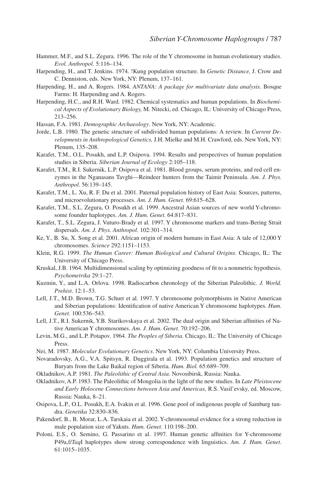- Hammer, M.F., and S.L. Zegura. 1996. The role of the Y chromosome in human evolutionary studies. *Evol. Anthropol*. 5:116–134.
- Harpending, H., and T. Jenkins. 1974. !Kung population structure. In *Genetic Distance,* J. Crow and C. Denniston, eds. New York, NY: Plenum, 137–161.
- Harpending, H., and A. Rogers. 1984. *ANTANA: A package for multivariate data analysis*. Bosque Farms: H. Harpending and A. Rogers.
- Harpending, H.C., and R.H. Ward. 1982. Chemical systematics and human populations. In *Biochemical Aspects of Evolutionary Biology,* M. Nitecki, ed. Chicago, IL: University of Chicago Press, 213–256.
- Hassan, F.A. 1981. *Demographic Archaeology*. New York, NY: Academic.
- Jorde, L.B. 1980. The genetic structure of subdivided human populations: A review. In *Current Developments in Anthropological Genetics,* J.H. Mielke and M.H. Crawford, eds. New York, NY: Plenum, 135–208.
- Karafet, T.M., O.L. Posukh, and L.P. Osipova. 1994. Results and perspectives of human population studies in Siberia. *Siberian Journal of Ecology* 2:105–118.
- Karafet, T.M., R.I. Sukernik, L.P. Osipova et al. 1981. Blood groups, serum proteins, and red cell enzymes in the Nganasans Tavghi—Reindeer hunters from the Taimir Peninsula. *Am. J. Phys. Anthropol*. 56:139–145.
- Karafet, T.M., L. Xu, R. F. Du et al. 2001. Paternal population history of East Asia: Sources, patterns, and microevolutionary processes. *Am. J. Hum. Genet.* 69:615–628.
- Karafet, T.M., S.L. Zegura, O. Posukh et al. 1999. Ancestral Asian sources of new world Y-chromosome founder haplotypes. *Am. J. Hum. Genet*. 64:817–831.
- Karafet, T., S.L. Zegura, J. Vuturo-Brady et al. 1997. Y chromosome markers and trans-Bering Strait dispersals. *Am. J. Phys. Anthropol*. 102:301–314.
- Ke, Y., B. Su, X. Song et al. 2001. African origin of modern humans in East Asia: A tale of 12,000 Y chromosomes. *Science* 292:1151–1153.
- Klein, R.G. 1999. *The Human Career: Human Biological and Cultural Origins.* Chicago, IL: The University of Chicago Press.
- Kruskal, J.B. 1964. Multidimensional scaling by optimizing goodness of fit to a nonmetric hypothesis. *Psychometrika* 29:1–27.
- Kuzmin, Y., and L.A. Orlova. 1998. Radiocarbon chronology of the Siberian Paleolithic*. J. World. Prehist*. 12:1–53.
- Lell, J.T., M.D. Brown, T.G. Schurr et al. 1997. Y chromosome polymorphisms in Native American and Siberian populations: Identification of native American Y chromosome haplotypes. *Hum. Genet*. 100:536–543.
- Lell, J.T., R.I. Sukernik, Y.B. Starikovskaya et al. 2002. The dual origin and Siberian affinities of Native American Y chromosomes. *Am. J. Hum. Genet*. 70:192–206.
- Levin, M.G., and L.P. Potapov. 1964. *The Peoples of Siberia.* Chicago, IL: The University of Chicago Press.
- Nei, M. 1987. *Molecular Evolutionary Genetics*. New York, NY: Columbia University Press.
- Novaradovsky, A.G., V.A. Spitsyn, R. Duggirala et al. 1993. Population genetics and structure of Buryats from the Lake Baikal region of Siberia. *Hum. Biol.* 65:689–709.
- Okladnikov, A.P. 1981. *The Paleolithic of Central Asia*. Novosibirsk, Russia: Nauka.
- Okladnikov, A.P. 1983. The Paleolithic of Mongolia in the light of the new studies. In *Late Pleistocene and Early Holocene Connections between Asia and Americas,* R.S. Vasil'evsky, ed. Moscow, Russia: Nauka, 8–21.
- Osipova, L.P., O.L. Posukh, E.A. Ivakin et al. 1996. Gene pool of indigenous people of Samburg tundra. *Genetika* 32:830–836.
- Pakendorf, B., B. Morar, L.A. Tarskaia et al. 2002. Y-chromosomal evidence for a strong reduction in male population size of Yakuts. *Hum. Genet.* 110:198–200.
- Poloni, E.S., O. Semino, G. Passarino et al. 1997. Human genetic affinities for Y-chromosome P49a,f/*Taq*I haplotypes show strong correspondence with linguistics. *Am. J. Hum. Genet*. 61:1015–1035.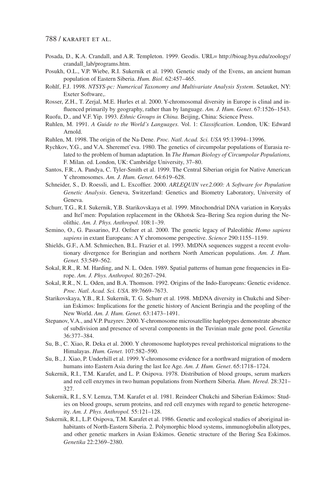- Posada, D., K.A. Crandall, and A.R. Templeton. 1999. Geodis. URL= http://bioag.byu.edu/zoology/ crandall\_lab/programs.htm.
- Posukh, O.L., V.P. Wiebe, R.I. Sukernik et al. 1990. Genetic study of the Evens, an ancient human population of Eastern Siberia. *Hum. Biol*. 62:457–465.
- Rohlf, F.J. 1998. *NTSYS-pc: Numerical Taxonomy and Multivariate Analysis System*. Setauket, NY: Exeter Software,.
- Rosser, Z.H., T. Zerjal, M.E. Hurles et al. 2000. Y-chromosomal diversity in Europe is clinal and influenced primarily by geography, rather than by language. *Am. J. Hum. Genet*. 67:1526–1543.

Ruofu, D., and V.F. Yip. 1993. *Ethnic Groups in China.* Beijing, China: Science Press.

- Ruhlen, M. 1991. *A Guide to the World's Languages.* Vol. 1: *Classification*. London, UK: Edward Arnold.
- Ruhlen, M. 1998. The origin of the Na-Dene. *Proc. Natl. Acad. Sci. USA* 95:13994–13996.
- Rychkov, Y.G., and V.A. Sheremet'eva. 1980. The genetics of circumpolar populations of Eurasia related to the problem of human adaptation. In *The Human Biology of Circumpolar Populations,* F. Milan. ed. London, UK: Cambridge University, 37–80.
- Santos, F.R., A. Pandya, C. Tyler-Smith et al. 1999. The Central Siberian origin for Native American Y chromosomes. *Am. J. Hum. Genet*. 64:619–628.
- Schneider, S., D. Roessli, and L. Excoffier. 2000. *ARLEQUIN ver.2.000: A Software for Population Genetic Analysis*. Geneva, Switzerland: Genetics and Biometry Laboratory, University of Geneva.
- Schurr, T.G., R.I. Sukernik, Y.B. Starikovskaya et al. 1999. Mitochondrial DNA variation in Koryaks and Itel'men: Population replacement in the Okhotsk Sea–Bering Sea region during the Neolithic. *Am. J. Phys. Anthropol*. 108:1–39.
- Semino, O., G. Passarino, P.J. Oefner et al. 2000. The genetic legacy of Paleolithic *Homo sapiens sapiens* in extant Europeans: A Y chromosome perspective. *Science* 290:1155–1159.
- Shields, G.F., A.M. Schmiechen, B.L. Frazier et al. 1993. MtDNA sequences suggest a recent evolutionary divergence for Beringian and northern North American populations. *Am. J. Hum. Genet.* 53:549–562.
- Sokal, R.R., R. M. Harding, and N. L. Oden. 1989. Spatial patterns of human gene frequencies in Europe. *Am. J. Phys. Anthropol.* 80:267–294.
- Sokal, R.R., N. L. Oden, and B.A. Thomson. 1992. Origins of the Indo-Europeans: Genetic evidence. *Proc. Natl. Acad. Sci. USA.* 89:7669–7673.
- Starikovskaya, Y.B., R.I. Sukernik, T. G. Schurr et al. 1998. MtDNA diversity in Chukchi and Siberian Eskimos: Implications for the genetic history of Ancient Beringia and the peopling of the New World. *Am. J. Hum. Genet.* 63:1473–1491.
- Stepanov, V.A., and V.P. Puzyrev. 2000. Y-chromosome microsatellite haplotypes demonstrate absence of subdivision and presence of several components in the Tuvinian male gene pool. *Genetika* 36:377–384.
- Su, B., C. Xiao, R. Deka et al. 2000. Y chromosome haplotypes reveal prehistorical migrations to the Himalayas. *Hum. Genet.* 107:582–590.
- Su, B., J. Xiao, P. Underhill et al. 1999. Y-chromosome evidence for a northward migration of modern humans into Eastern Asia during the last Ice Age*. Am. J. Hum. Genet*. 65:1718–1724.
- Sukernik, R.I., T.M. Karafet, and L. P. Osipova. 1978. Distribution of blood groups, serum markers and red cell enzymes in two human populations from Northern Siberia. *Hum. Hered*. 28:321– 327.
- Sukernik, R.I., S.V. Lemza, T.M. Karafet et al. 1981. Reindeer Chukchi and Siberian Eskimos: Studies on blood groups, serum proteins, and red cell enzymes with regard to genetic heterogeneity. *Am. J. Phys. Anthropol.* 55:121–128.
- Sukernik, R.I., L.P. Osipova, T.M. Karafet et al. 1986. Genetic and ecological studies of aboriginal inhabitants of North-Eastern Siberia. 2. Polymorphic blood systems, immunoglobulin allotypes, and other genetic markers in Asian Eskimos. Genetic structure of the Bering Sea Eskimos. *Genetika* 22:2369–2380.